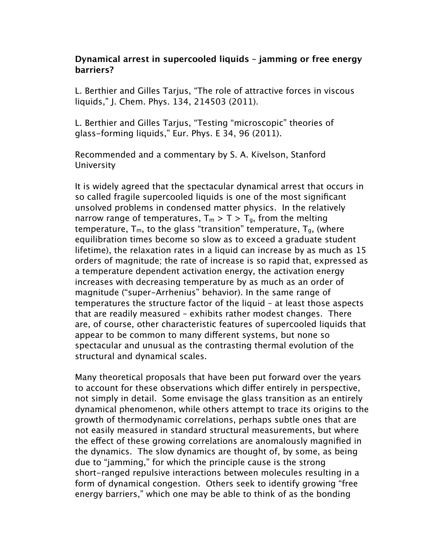## **Dynamical arrest in supercooled liquids – jamming or free energy barriers?**

L. Berthier and Gilles Tarjus, "The role of attractive forces in viscous liquids," J. Chem. Phys. 134, 214503 (2011).

L. Berthier and Gilles Tarjus, "Testing "microscopic" theories of glass-forming liquids," Eur. Phys. E 34, 96 (2011).

Recommended and a commentary by S. A. Kivelson, Stanford University

It is widely agreed that the spectacular dynamical arrest that occurs in so called fragile supercooled liquids is one of the most significant unsolved problems in condensed matter physics. In the relatively narrow range of temperatures,  $T_m > T > T_a$ , from the melting temperature,  $T_m$ , to the glass "transition" temperature,  $T_g$ , (where equilibration times become so slow as to exceed a graduate student lifetime), the relaxation rates in a liquid can increase by as much as 15 orders of magnitude; the rate of increase is so rapid that, expressed as a temperature dependent activation energy, the activation energy increases with decreasing temperature by as much as an order of magnitude ("super-Arrhenius" behavior). In the same range of temperatures the structure factor of the liquid – at least those aspects that are readily measured – exhibits rather modest changes. There are, of course, other characteristic features of supercooled liquids that appear to be common to many diferent systems, but none so spectacular and unusual as the contrasting thermal evolution of the structural and dynamical scales.

Many theoretical proposals that have been put forward over the years to account for these observations which difer entirely in perspective, not simply in detail. Some envisage the glass transition as an entirely dynamical phenomenon, while others attempt to trace its origins to the growth of thermodynamic correlations, perhaps subtle ones that are not easily measured in standard structural measurements, but where the effect of these growing correlations are anomalously magnified in the dynamics. The slow dynamics are thought of, by some, as being due to "jamming," for which the principle cause is the strong short-ranged repulsive interactions between molecules resulting in a form of dynamical congestion. Others seek to identify growing "free energy barriers," which one may be able to think of as the bonding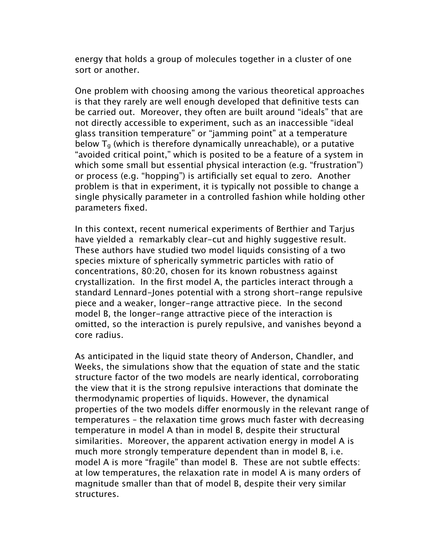energy that holds a group of molecules together in a cluster of one sort or another.

One problem with choosing among the various theoretical approaches is that they rarely are well enough developed that definitive tests can be carried out. Moreover, they often are built around "ideals" that are not directly accessible to experiment, such as an inaccessible "ideal glass transition temperature" or "jamming point" at a temperature below  $T<sub>g</sub>$  (which is therefore dynamically unreachable), or a putative "avoided critical point," which is posited to be a feature of a system in which some small but essential physical interaction (e.g. "frustration") or process (e.g. "hopping") is artificially set equal to zero. Another problem is that in experiment, it is typically not possible to change a single physically parameter in a controlled fashion while holding other parameters fixed.

In this context, recent numerical experiments of Berthier and Tarjus have yielded a remarkably clear-cut and highly suggestive result. These authors have studied two model liquids consisting of a two species mixture of spherically symmetric particles with ratio of concentrations, 80:20, chosen for its known robustness against crystallization. In the first model A, the particles interact through a standard Lennard-Jones potential with a strong short-range repulsive piece and a weaker, longer-range attractive piece. In the second model B, the longer-range attractive piece of the interaction is omitted, so the interaction is purely repulsive, and vanishes beyond a core radius.

As anticipated in the liquid state theory of Anderson, Chandler, and Weeks, the simulations show that the equation of state and the static structure factor of the two models are nearly identical, corroborating the view that it is the strong repulsive interactions that dominate the thermodynamic properties of liquids. However, the dynamical properties of the two models difer enormously in the relevant range of temperatures – the relaxation time grows much faster with decreasing temperature in model A than in model B, despite their structural similarities. Moreover, the apparent activation energy in model A is much more strongly temperature dependent than in model B, i.e. model A is more "fragile" than model B. These are not subtle effects: at low temperatures, the relaxation rate in model A is many orders of magnitude smaller than that of model B, despite their very similar structures.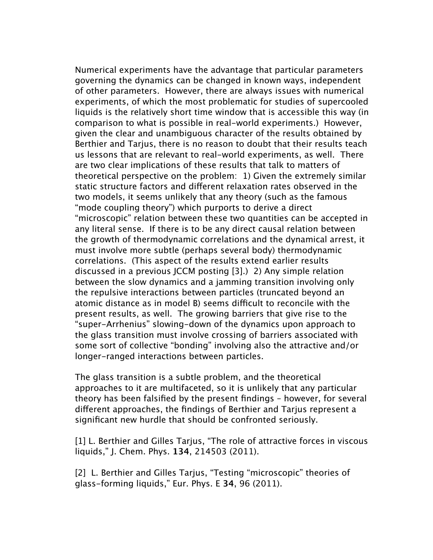Numerical experiments have the advantage that particular parameters governing the dynamics can be changed in known ways, independent of other parameters. However, there are always issues with numerical experiments, of which the most problematic for studies of supercooled liquids is the relatively short time window that is accessible this way (in comparison to what is possible in real-world experiments.) However, given the clear and unambiguous character of the results obtained by Berthier and Tarjus, there is no reason to doubt that their results teach us lessons that are relevant to real-world experiments, as well. There are two clear implications of these results that talk to matters of theoretical perspective on the problem: 1) Given the extremely similar static structure factors and diferent relaxation rates observed in the two models, it seems unlikely that any theory (such as the famous "mode coupling theory") which purports to derive a direct "microscopic" relation between these two quantities can be accepted in any literal sense. If there is to be any direct causal relation between the growth of thermodynamic correlations and the dynamical arrest, it must involve more subtle (perhaps several body) thermodynamic correlations. (This aspect of the results extend earlier results discussed in a previous JCCM posting [3].) 2) Any simple relation between the slow dynamics and a jamming transition involving only the repulsive interactions between particles (truncated beyond an atomic distance as in model B) seems difficult to reconcile with the present results, as well. The growing barriers that give rise to the "super-Arrhenius" slowing-down of the dynamics upon approach to the glass transition must involve crossing of barriers associated with some sort of collective "bonding" involving also the attractive and/or longer-ranged interactions between particles.

The glass transition is a subtle problem, and the theoretical approaches to it are multifaceted, so it is unlikely that any particular theory has been falsified by the present findings – however, for several diferent approaches, the findings of Berthier and Tarjus represent a significant new hurdle that should be confronted seriously.

[1] L. Berthier and Gilles Tarius, "The role of attractive forces in viscous liquids," J. Chem. Phys. **134**, 214503 (2011).

[2] L. Berthier and Gilles Tarjus, "Testing "microscopic" theories of glass-forming liquids," Eur. Phys. E **34**, 96 (2011).